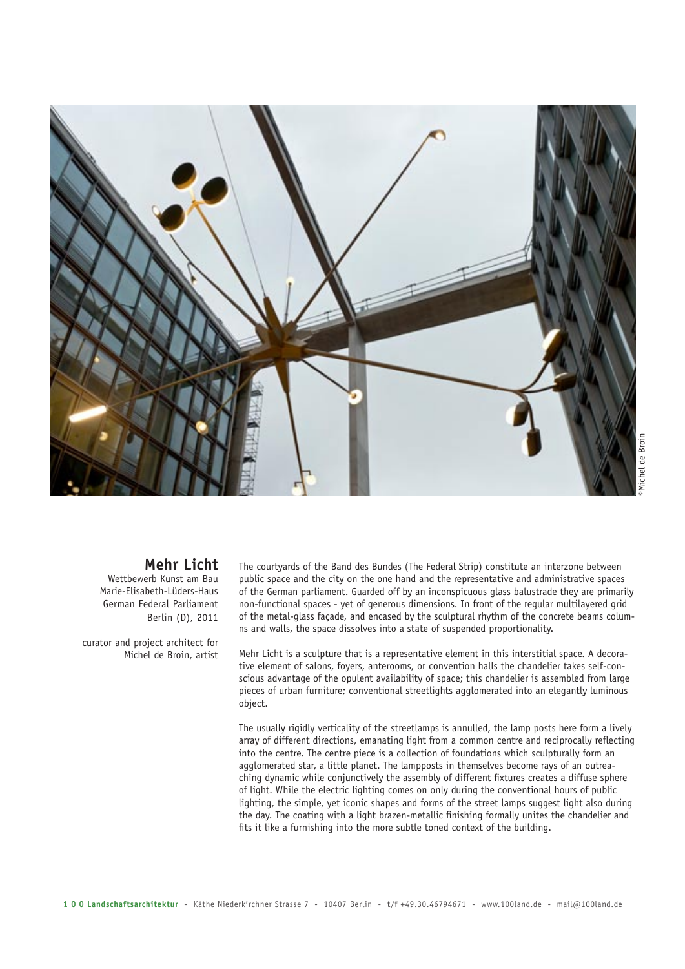

de Broil

## **Mehr Licht**

Wettbewerb Kunst am Bau Marie-Elisabeth-Lüders-Haus German Federal Parliament Berlin (D), 2011

curator and project architect for Michel de Broin, artist

The courtyards of the Band des Bundes (The Federal Strip) constitute an interzone between public space and the city on the one hand and the representative and administrative spaces of the German parliament. Guarded off by an inconspicuous glass balustrade they are primarily non-functional spaces - yet of generous dimensions. In front of the regular multilayered grid of the metal-glass façade, and encased by the sculptural rhythm of the concrete beams columns and walls, the space dissolves into a state of suspended proportionality.

Mehr Licht is a sculpture that is a representative element in this interstitial space. A decorative element of salons, foyers, anterooms, or convention halls the chandelier takes self-conscious advantage of the opulent availability of space; this chandelier is assembled from large pieces of urban furniture; conventional streetlights agglomerated into an elegantly luminous object.

The usually rigidly verticality of the streetlamps is annulled, the lamp posts here form a lively array of different directions, emanating light from a common centre and reciprocally reflecting into the centre. The centre piece is a collection of foundations which sculpturally form an agglomerated star, a little planet. The lampposts in themselves become rays of an outreaching dynamic while conjunctively the assembly of different fixtures creates a diffuse sphere of light. While the electric lighting comes on only during the conventional hours of public lighting, the simple, yet iconic shapes and forms of the street lamps suggest light also during the day. The coating with a light brazen-metallic finishing formally unites the chandelier and fits it like a furnishing into the more subtle toned context of the building.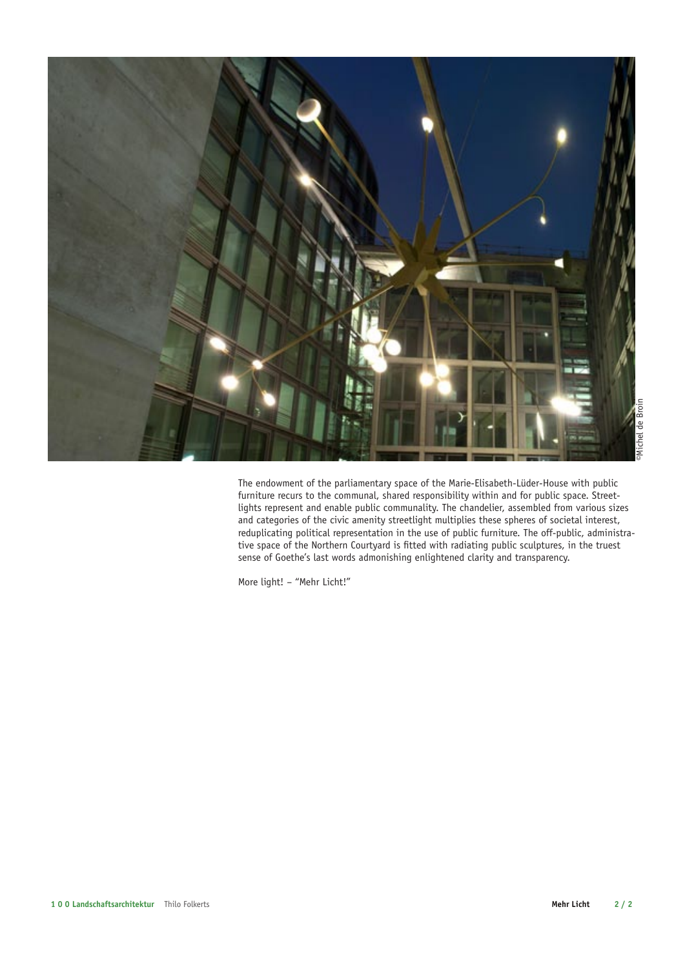

The endowment of the parliamentary space of the Marie-Elisabeth-Lüder-House with public furniture recurs to the communal, shared responsibility within and for public space. Streetlights represent and enable public communality. The chandelier, assembled from various sizes and categories of the civic amenity streetlight multiplies these spheres of societal interest, reduplicating political representation in the use of public furniture. The off-public, administrative space of the Northern Courtyard is fitted with radiating public sculptures, in the truest sense of Goethe's last words admonishing enlightened clarity and transparency.

More light! – "Mehr Licht!"